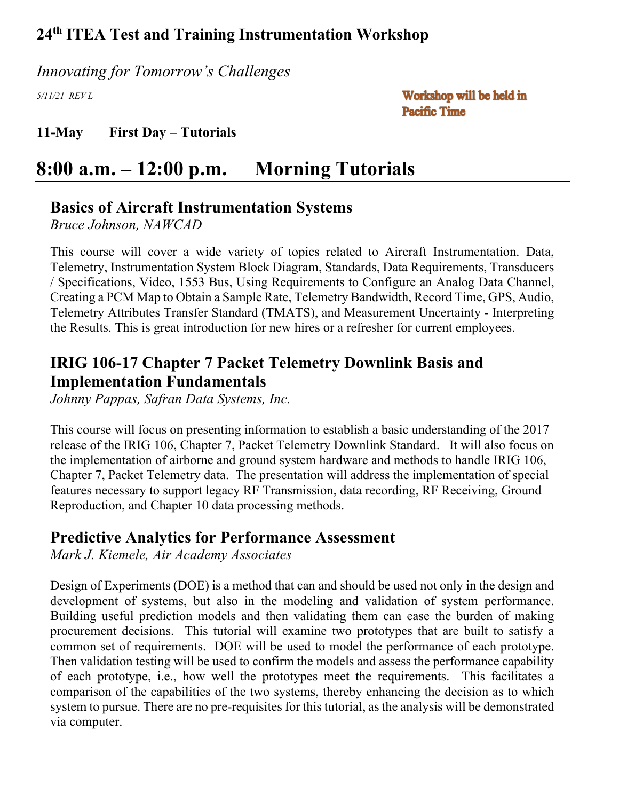*Innovating for Tomorrow's Challenges*

*5/11/21 REV L*

Workshop will be held in **Pacific Time** 

**11-May First Day – Tutorials**

# **8:00 a.m. – 12:00 p.m. Morning Tutorials**

## **Basics of Aircraft Instrumentation Systems**

*Bruce Johnson, NAWCAD*

This course will cover a wide variety of topics related to Aircraft Instrumentation. Data, Telemetry, Instrumentation System Block Diagram, Standards, Data Requirements, Transducers / Specifications, Video, 1553 Bus, Using Requirements to Configure an Analog Data Channel, Creating a PCM Map to Obtain a Sample Rate, Telemetry Bandwidth, Record Time, GPS, Audio, Telemetry Attributes Transfer Standard (TMATS), and Measurement Uncertainty - Interpreting the Results. This is great introduction for new hires or a refresher for current employees.

## **IRIG 106-17 Chapter 7 Packet Telemetry Downlink Basis and Implementation Fundamentals**

*Johnny Pappas, Safran Data Systems, Inc.*

This course will focus on presenting information to establish a basic understanding of the 2017 release of the IRIG 106, Chapter 7, Packet Telemetry Downlink Standard. It will also focus on the implementation of airborne and ground system hardware and methods to handle IRIG 106, Chapter 7, Packet Telemetry data. The presentation will address the implementation of special features necessary to support legacy RF Transmission, data recording, RF Receiving, Ground Reproduction, and Chapter 10 data processing methods.

### **Predictive Analytics for Performance Assessment**

*Mark J. Kiemele, Air Academy Associates*

Design of Experiments (DOE) is a method that can and should be used not only in the design and development of systems, but also in the modeling and validation of system performance. Building useful prediction models and then validating them can ease the burden of making procurement decisions. This tutorial will examine two prototypes that are built to satisfy a common set of requirements. DOE will be used to model the performance of each prototype. Then validation testing will be used to confirm the models and assess the performance capability of each prototype, i.e., how well the prototypes meet the requirements. This facilitates a comparison of the capabilities of the two systems, thereby enhancing the decision as to which system to pursue. There are no pre-requisites for this tutorial, as the analysis will be demonstrated via computer.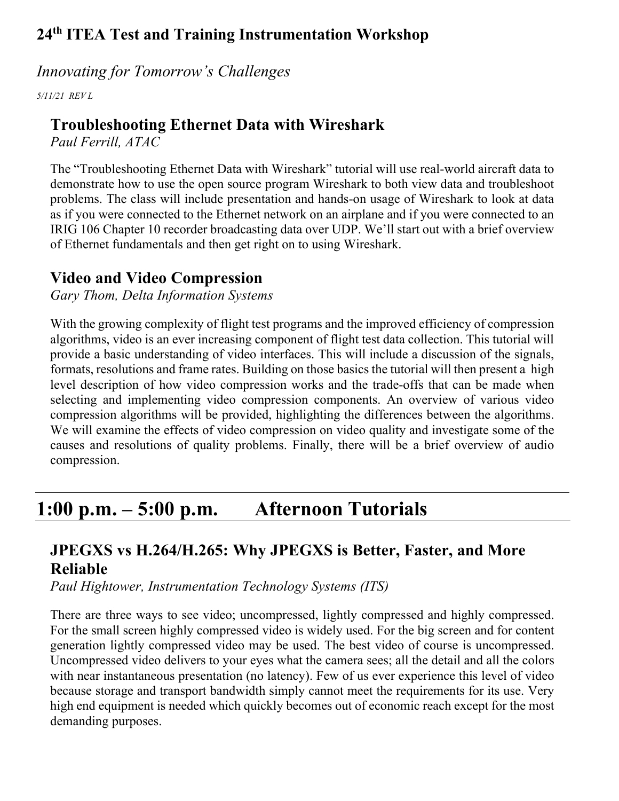### *Innovating for Tomorrow's Challenges*

*5/11/21 REV L*

## **Troubleshooting Ethernet Data with Wireshark**

*Paul Ferrill, ATAC* 

The "Troubleshooting Ethernet Data with Wireshark" tutorial will use real-world aircraft data to demonstrate how to use the open source program Wireshark to both view data and troubleshoot problems. The class will include presentation and hands-on usage of Wireshark to look at data as if you were connected to the Ethernet network on an airplane and if you were connected to an IRIG 106 Chapter 10 recorder broadcasting data over UDP. We'll start out with a brief overview of Ethernet fundamentals and then get right on to using Wireshark.

## **Video and Video Compression**

*Gary Thom, Delta Information Systems*

With the growing complexity of flight test programs and the improved efficiency of compression algorithms, video is an ever increasing component of flight test data collection. This tutorial will provide a basic understanding of video interfaces. This will include a discussion of the signals, formats, resolutions and frame rates. Building on those basics the tutorial will then present a high level description of how video compression works and the trade-offs that can be made when selecting and implementing video compression components. An overview of various video compression algorithms will be provided, highlighting the differences between the algorithms. We will examine the effects of video compression on video quality and investigate some of the causes and resolutions of quality problems. Finally, there will be a brief overview of audio compression.

# **1:00 p.m. – 5:00 p.m. Afternoon Tutorials**

# **JPEGXS vs H.264/H.265: Why JPEGXS is Better, Faster, and More Reliable**

*Paul Hightower, Instrumentation Technology Systems (ITS)*

There are three ways to see video; uncompressed, lightly compressed and highly compressed. For the small screen highly compressed video is widely used. For the big screen and for content generation lightly compressed video may be used. The best video of course is uncompressed. Uncompressed video delivers to your eyes what the camera sees; all the detail and all the colors with near instantaneous presentation (no latency). Few of us ever experience this level of video because storage and transport bandwidth simply cannot meet the requirements for its use. Very high end equipment is needed which quickly becomes out of economic reach except for the most demanding purposes.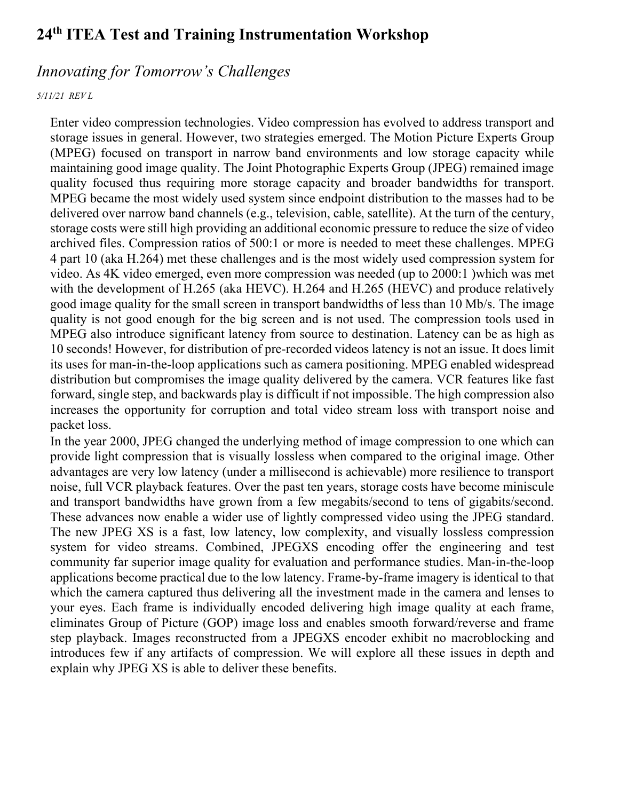### *Innovating for Tomorrow's Challenges*

#### *5/11/21 REV L*

Enter video compression technologies. Video compression has evolved to address transport and storage issues in general. However, two strategies emerged. The Motion Picture Experts Group (MPEG) focused on transport in narrow band environments and low storage capacity while maintaining good image quality. The Joint Photographic Experts Group (JPEG) remained image quality focused thus requiring more storage capacity and broader bandwidths for transport. MPEG became the most widely used system since endpoint distribution to the masses had to be delivered over narrow band channels (e.g., television, cable, satellite). At the turn of the century, storage costs were still high providing an additional economic pressure to reduce the size of video archived files. Compression ratios of 500:1 or more is needed to meet these challenges. MPEG 4 part 10 (aka H.264) met these challenges and is the most widely used compression system for video. As 4K video emerged, even more compression was needed (up to 2000:1 )which was met with the development of H.265 (aka HEVC). H.264 and H.265 (HEVC) and produce relatively good image quality for the small screen in transport bandwidths of less than 10 Mb/s. The image quality is not good enough for the big screen and is not used. The compression tools used in MPEG also introduce significant latency from source to destination. Latency can be as high as 10 seconds! However, for distribution of pre-recorded videos latency is not an issue. It does limit its uses for man-in-the-loop applications such as camera positioning. MPEG enabled widespread distribution but compromises the image quality delivered by the camera. VCR features like fast forward, single step, and backwards play is difficult if not impossible. The high compression also increases the opportunity for corruption and total video stream loss with transport noise and packet loss.

In the year 2000, JPEG changed the underlying method of image compression to one which can provide light compression that is visually lossless when compared to the original image. Other advantages are very low latency (under a millisecond is achievable) more resilience to transport noise, full VCR playback features. Over the past ten years, storage costs have become miniscule and transport bandwidths have grown from a few megabits/second to tens of gigabits/second. These advances now enable a wider use of lightly compressed video using the JPEG standard. The new JPEG XS is a fast, low latency, low complexity, and visually lossless compression system for video streams. Combined, JPEGXS encoding offer the engineering and test community far superior image quality for evaluation and performance studies. Man-in-the-loop applications become practical due to the low latency. Frame-by-frame imagery is identical to that which the camera captured thus delivering all the investment made in the camera and lenses to your eyes. Each frame is individually encoded delivering high image quality at each frame, eliminates Group of Picture (GOP) image loss and enables smooth forward/reverse and frame step playback. Images reconstructed from a JPEGXS encoder exhibit no macroblocking and introduces few if any artifacts of compression. We will explore all these issues in depth and explain why JPEG XS is able to deliver these benefits.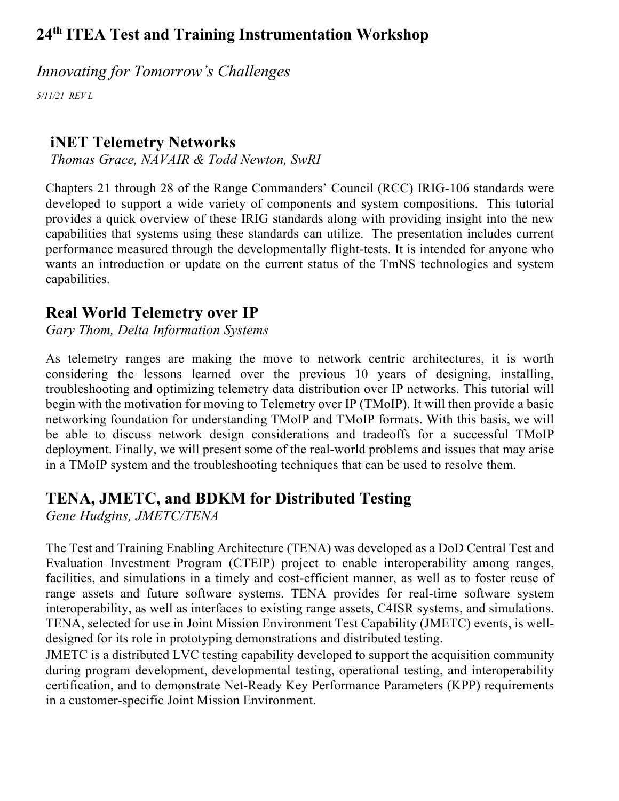*Innovating for Tomorrow's Challenges*

*5/11/21 REV L*

## **iNET Telemetry Networks**

*Thomas Grace, NAVAIR & Todd Newton, SwRI*

Chapters 21 through 28 of the Range Commanders' Council (RCC) IRIG-106 standards were developed to support a wide variety of components and system compositions. This tutorial provides a quick overview of these IRIG standards along with providing insight into the new capabilities that systems using these standards can utilize. The presentation includes current performance measured through the developmentally flight-tests. It is intended for anyone who wants an introduction or update on the current status of the TmNS technologies and system capabilities.

# **Real World Telemetry over IP**

*Gary Thom, Delta Information Systems*

As telemetry ranges are making the move to network centric architectures, it is worth considering the lessons learned over the previous 10 years of designing, installing, troubleshooting and optimizing telemetry data distribution over IP networks. This tutorial will begin with the motivation for moving to Telemetry over IP (TMoIP). It will then provide a basic networking foundation for understanding TMoIP and TMoIP formats. With this basis, we will be able to discuss network design considerations and tradeoffs for a successful TMoIP deployment. Finally, we will present some of the real-world problems and issues that may arise in a TMoIP system and the troubleshooting techniques that can be used to resolve them.

# **TENA, JMETC, and BDKM for Distributed Testing**

*Gene Hudgins, JMETC/TENA*

The Test and Training Enabling Architecture (TENA) was developed as a DoD Central Test and Evaluation Investment Program (CTEIP) project to enable interoperability among ranges, facilities, and simulations in a timely and cost-efficient manner, as well as to foster reuse of range assets and future software systems. TENA provides for real-time software system interoperability, as well as interfaces to existing range assets, C4ISR systems, and simulations. TENA, selected for use in Joint Mission Environment Test Capability (JMETC) events, is welldesigned for its role in prototyping demonstrations and distributed testing.

JMETC is a distributed LVC testing capability developed to support the acquisition community during program development, developmental testing, operational testing, and interoperability certification, and to demonstrate Net-Ready Key Performance Parameters (KPP) requirements in a customer-specific Joint Mission Environment.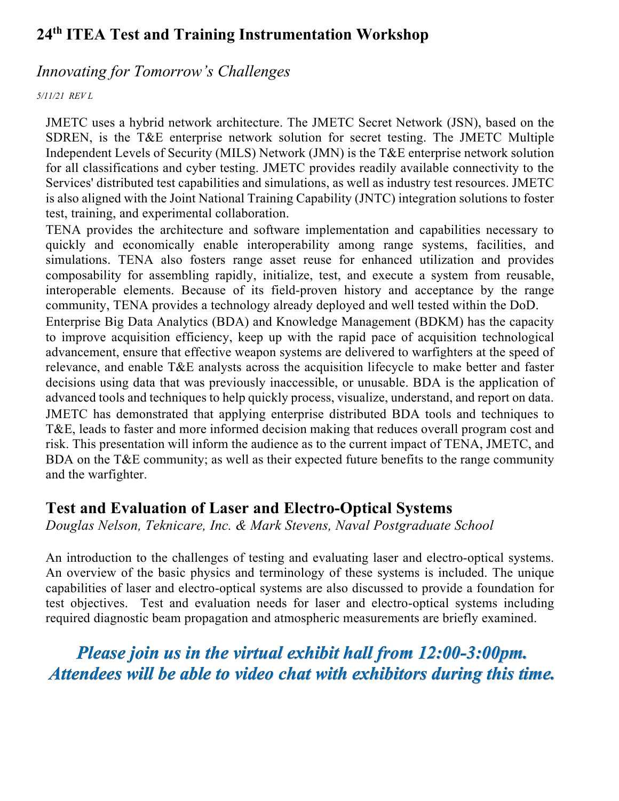### *Innovating for Tomorrow's Challenges*

#### *5/11/21 REV L*

JMETC uses a hybrid network architecture. The JMETC Secret Network (JSN), based on the SDREN, is the T&E enterprise network solution for secret testing. The JMETC Multiple Independent Levels of Security (MILS) Network (JMN) is the T&E enterprise network solution for all classifications and cyber testing. JMETC provides readily available connectivity to the Services' distributed test capabilities and simulations, as well as industry test resources. JMETC is also aligned with the Joint National Training Capability (JNTC) integration solutions to foster test, training, and experimental collaboration.

TENA provides the architecture and software implementation and capabilities necessary to quickly and economically enable interoperability among range systems, facilities, and simulations. TENA also fosters range asset reuse for enhanced utilization and provides composability for assembling rapidly, initialize, test, and execute a system from reusable, interoperable elements. Because of its field-proven history and acceptance by the range community, TENA provides a technology already deployed and well tested within the DoD.

Enterprise Big Data Analytics (BDA) and Knowledge Management (BDKM) has the capacity to improve acquisition efficiency, keep up with the rapid pace of acquisition technological advancement, ensure that effective weapon systems are delivered to warfighters at the speed of relevance, and enable T&E analysts across the acquisition lifecycle to make better and faster decisions using data that was previously inaccessible, or unusable. BDA is the application of advanced tools and techniques to help quickly process, visualize, understand, and report on data. JMETC has demonstrated that applying enterprise distributed BDA tools and techniques to T&E, leads to faster and more informed decision making that reduces overall program cost and risk. This presentation will inform the audience as to the current impact of TENA, JMETC, and BDA on the T&E community; as well as their expected future benefits to the range community and the warfighter.

### **Test and Evaluation of Laser and Electro-Optical Systems**

*Douglas Nelson, Teknicare, Inc. & Mark Stevens, Naval Postgraduate School*

An introduction to the challenges of testing and evaluating laser and electro-optical systems. An overview of the basic physics and terminology of these systems is included. The unique capabilities of laser and electro-optical systems are also discussed to provide a foundation for test objectives. Test and evaluation needs for laser and electro-optical systems including required diagnostic beam propagation and atmospheric measurements are briefly examined.

*Please join us in the virtual exhibit hall from 12:00-3:00pm. Attendees will be able to video chat with exhibitors during this time.*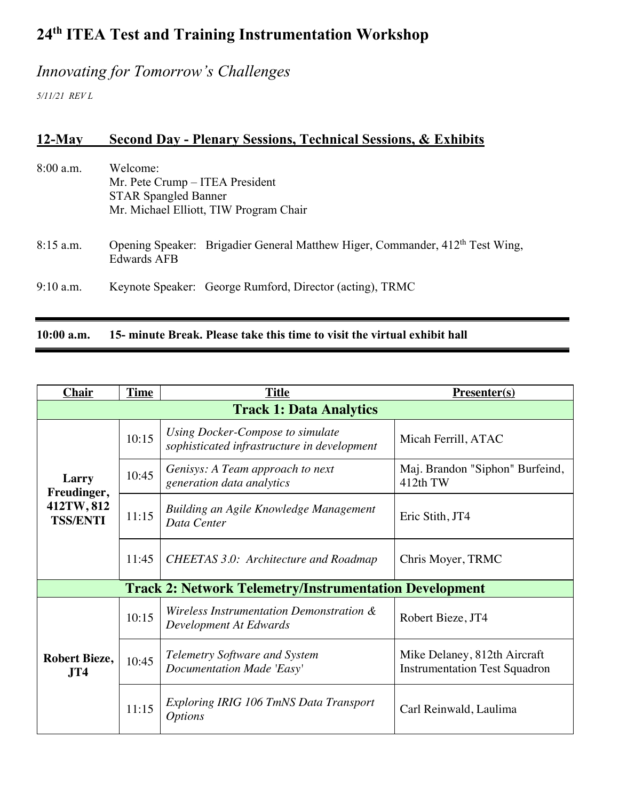# *Innovating for Tomorrow's Challenges*

*5/11/21 REV L*

## **12-May Second Day - Plenary Sessions, Technical Sessions, & Exhibits**

| $10:00$ a.m. | 15- minute Break. Please take this time to visit the virtual exhibit hall                                            |  |  |
|--------------|----------------------------------------------------------------------------------------------------------------------|--|--|
|              |                                                                                                                      |  |  |
| $9:10$ a.m.  | Keynote Speaker: George Rumford, Director (acting), TRMC                                                             |  |  |
| $8:15$ a.m.  | Opening Speaker: Brigadier General Matthew Higer, Commander, 412 <sup>th</sup> Test Wing,<br><b>Edwards AFB</b>      |  |  |
| $8:00$ a.m.  | Welcome:<br>Mr. Pete Crump – ITEA President<br><b>STAR Spangled Banner</b><br>Mr. Michael Elliott, TIW Program Chair |  |  |

| <b>Chair</b>                                                  | <b>Time</b> | <b>Title</b>                                                                    | <b>Presenter(s)</b>                                                  |  |  |
|---------------------------------------------------------------|-------------|---------------------------------------------------------------------------------|----------------------------------------------------------------------|--|--|
| <b>Track 1: Data Analytics</b>                                |             |                                                                                 |                                                                      |  |  |
| Larry<br>Freudinger,<br>412TW, 812<br><b>TSS/ENTI</b>         | 10:15       | Using Docker-Compose to simulate<br>sophisticated infrastructure in development | Micah Ferrill, ATAC                                                  |  |  |
|                                                               | 10:45       | Genisys: A Team approach to next<br>generation data analytics                   | Maj. Brandon "Siphon" Burfeind,<br>412th TW                          |  |  |
|                                                               | 11:15       | Building an Agile Knowledge Management<br>Data Center                           | Eric Stith, JT4                                                      |  |  |
|                                                               | 11:45       | <b>CHEETAS 3.0: Architecture and Roadmap</b>                                    | Chris Moyer, TRMC                                                    |  |  |
| <b>Track 2: Network Telemetry/Instrumentation Development</b> |             |                                                                                 |                                                                      |  |  |
|                                                               | 10:15       | Wireless Instrumentation Demonstration &<br>Development At Edwards              | Robert Bieze, JT4                                                    |  |  |
| <b>Robert Bieze,</b><br>JT4                                   | 10:45       | <b>Telemetry Software and System</b><br>Documentation Made 'Easy'               | Mike Delaney, 812th Aircraft<br><b>Instrumentation Test Squadron</b> |  |  |
|                                                               | 11:15       | Exploring IRIG 106 TmNS Data Transport<br><b>Options</b>                        | Carl Reinwald, Laulima                                               |  |  |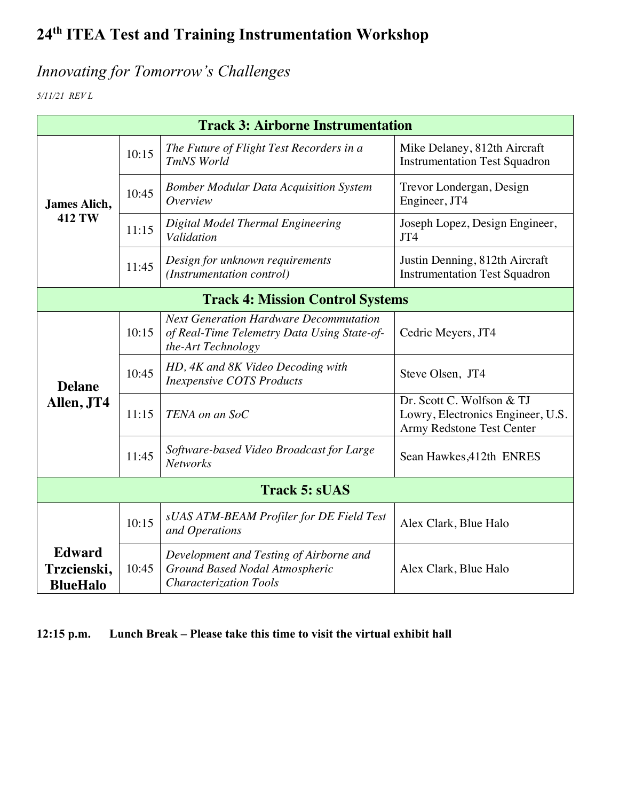# *Innovating for Tomorrow's Challenges*

*5/11/21 REV L*

| <b>Track 3: Airborne Instrumentation</b>        |       |                                                                                                                    |                                                                                             |  |
|-------------------------------------------------|-------|--------------------------------------------------------------------------------------------------------------------|---------------------------------------------------------------------------------------------|--|
| James Alich,<br><b>412 TW</b>                   | 10:15 | The Future of Flight Test Recorders in a<br>TmNS World                                                             | Mike Delaney, 812th Aircraft<br><b>Instrumentation Test Squadron</b>                        |  |
|                                                 | 10:45 | <b>Bomber Modular Data Acquisition System</b><br>Overview                                                          | Trevor Londergan, Design<br>Engineer, JT4                                                   |  |
|                                                 | 11:15 | Digital Model Thermal Engineering<br>Validation                                                                    | Joseph Lopez, Design Engineer,<br>JT4                                                       |  |
|                                                 | 11:45 | Design for unknown requirements<br>(Instrumentation control)                                                       | Justin Denning, 812th Aircraft<br><b>Instrumentation Test Squadron</b>                      |  |
| <b>Track 4: Mission Control Systems</b>         |       |                                                                                                                    |                                                                                             |  |
| <b>Delane</b><br>Allen, JT4                     | 10:15 | <b>Next Generation Hardware Decommutation</b><br>of Real-Time Telemetry Data Using State-of-<br>the-Art Technology | Cedric Meyers, JT4                                                                          |  |
|                                                 | 10:45 | HD, 4K and 8K Video Decoding with<br><b>Inexpensive COTS Products</b>                                              | Steve Olsen, JT4                                                                            |  |
|                                                 | 11:15 | TENA on an SoC                                                                                                     | Dr. Scott C. Wolfson & TJ<br>Lowry, Electronics Engineer, U.S.<br>Army Redstone Test Center |  |
|                                                 | 11:45 | Software-based Video Broadcast for Large<br><b>Networks</b>                                                        | Sean Hawkes, 412th ENRES                                                                    |  |
| <b>Track 5: sUAS</b>                            |       |                                                                                                                    |                                                                                             |  |
|                                                 | 10:15 | sUAS ATM-BEAM Profiler for DE Field Test<br>and Operations                                                         | Alex Clark, Blue Halo                                                                       |  |
| <b>Edward</b><br>Trzcienski,<br><b>BlueHalo</b> | 10:45 | Development and Testing of Airborne and<br>Ground Based Nodal Atmospheric<br><b>Characterization Tools</b>         | Alex Clark, Blue Halo                                                                       |  |

**12:15 p.m. Lunch Break – Please take this time to visit the virtual exhibit hall**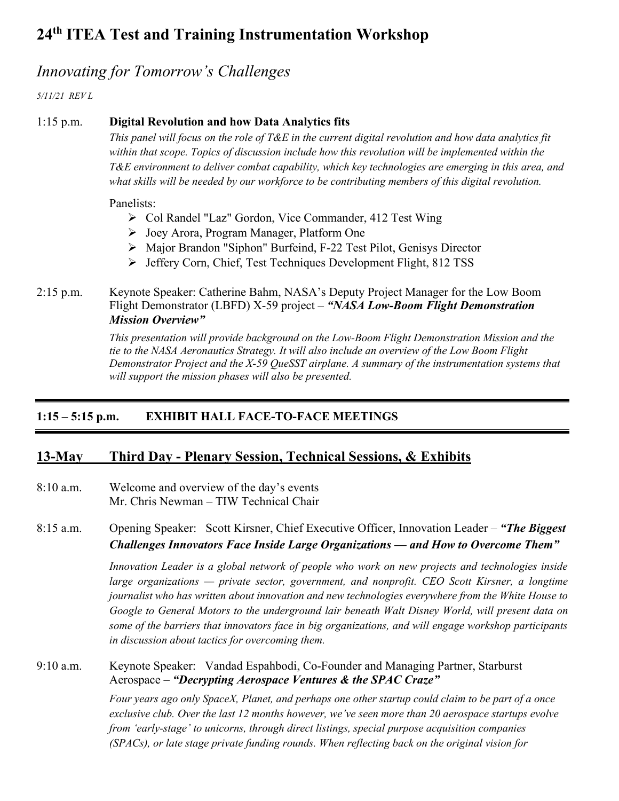### *Innovating for Tomorrow's Challenges*

*5/11/21 REV L*

#### 1:15 p.m. **Digital Revolution and how Data Analytics fits**

*This panel will focus on the role of T&E in the current digital revolution and how data analytics fit within that scope. Topics of discussion include how this revolution will be implemented within the T&E environment to deliver combat capability, which key technologies are emerging in this area, and what skills will be needed by our workforce to be contributing members of this digital revolution.*

Panelists:

- Ø Col Randel "Laz" Gordon, Vice Commander, 412 Test Wing
- Ø Joey Arora, Program Manager, Platform One
- Ø Major Brandon "Siphon" Burfeind, F-22 Test Pilot, Genisys Director
- Ø Jeffery Corn, Chief, Test Techniques Development Flight, 812 TSS

#### 2:15 p.m. Keynote Speaker: Catherine Bahm, NASA's Deputy Project Manager for the Low Boom Flight Demonstrator (LBFD) X-59 project – *"NASA Low-Boom Flight Demonstration Mission Overview"*

*This presentation will provide background on the Low-Boom Flight Demonstration Mission and the tie to the NASA Aeronautics Strategy. It will also include an overview of the Low Boom Flight Demonstrator Project and the X-59 QueSST airplane. A summary of the instrumentation systems that will support the mission phases will also be presented.*

#### **1:15 – 5:15 p.m. EXHIBIT HALL FACE-TO-FACE MEETINGS**

#### **13-May Third Day - Plenary Session, Technical Sessions, & Exhibits**

8:10 a.m. Welcome and overview of the day's events Mr. Chris Newman – TIW Technical Chair

8:15 a.m. Opening Speaker: Scott Kirsner, Chief Executive Officer, Innovation Leader – *"The Biggest Challenges Innovators Face Inside Large Organizations — and How to Overcome Them"*

> *Innovation Leader is a global network of people who work on new projects and technologies inside large organizations — private sector, government, and nonprofit. CEO Scott Kirsner, a longtime journalist who has written about innovation and new technologies everywhere from the White House to Google to General Motors to the underground lair beneath Walt Disney World, will present data on some of the barriers that innovators face in big organizations, and will engage workshop participants in discussion about tactics for overcoming them.*

#### 9:10 a.m. Keynote Speaker: Vandad Espahbodi, Co-Founder and Managing Partner, Starburst Aerospace – *"Decrypting Aerospace Ventures & the SPAC Craze"*

*Four years ago only SpaceX, Planet, and perhaps one other startup could claim to be part of a once exclusive club. Over the last 12 months however, we've seen more than 20 aerospace startups evolve from 'early-stage' to unicorns, through direct listings, special purpose acquisition companies (SPACs), or late stage private funding rounds. When reflecting back on the original vision for*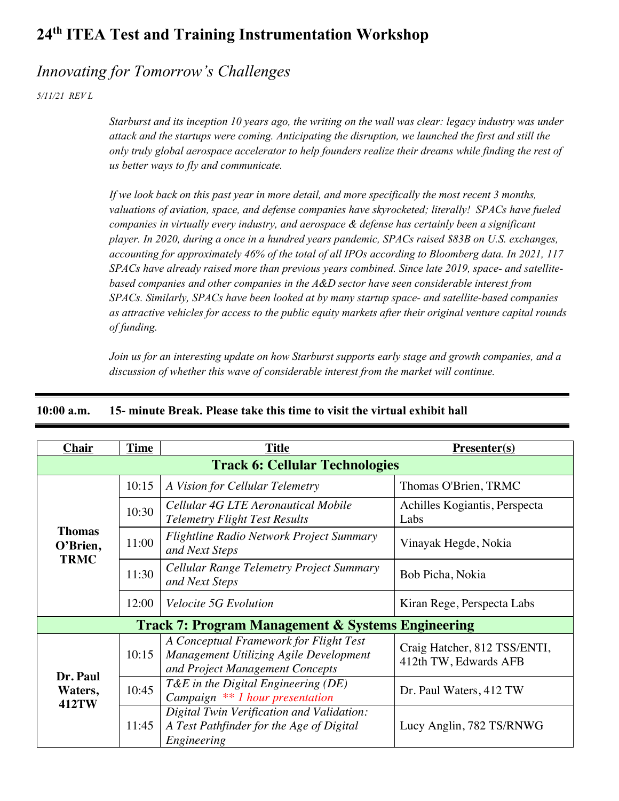### *Innovating for Tomorrow's Challenges*

*5/11/21 REV L*

*Starburst and its inception 10 years ago, the writing on the wall was clear: legacy industry was under attack and the startups were coming. Anticipating the disruption, we launched the first and still the only truly global aerospace accelerator to help founders realize their dreams while finding the rest of us better ways to fly and communicate.*

*If we look back on this past year in more detail, and more specifically the most recent 3 months, valuations of aviation, space, and defense companies have skyrocketed; literally! SPACs have fueled companies in virtually every industry, and aerospace & defense has certainly been a significant player. In 2020, during a once in a hundred years pandemic, SPACs raised \$83B on U.S. exchanges, accounting for approximately 46% of the total of all IPOs according to Bloomberg data. In 2021, 117 SPACs have already raised more than previous years combined. Since late 2019, space- and satellitebased companies and other companies in the A&D sector have seen considerable interest from SPACs. Similarly, SPACs have been looked at by many startup space- and satellite-based companies as attractive vehicles for access to the public equity markets after their original venture capital rounds of funding.*

*Join us for an interesting update on how Starburst supports early stage and growth companies, and a discussion of whether this wave of considerable interest from the market will continue.*

| <b>Chair</b>                                                 | <b>Time</b> | <b>Title</b>                                                                                                        | <b>Presenter(s)</b>                                   |  |  |
|--------------------------------------------------------------|-------------|---------------------------------------------------------------------------------------------------------------------|-------------------------------------------------------|--|--|
| <b>Track 6: Cellular Technologies</b>                        |             |                                                                                                                     |                                                       |  |  |
|                                                              | 10:15       | A Vision for Cellular Telemetry                                                                                     | Thomas O'Brien, TRMC                                  |  |  |
|                                                              | 10:30       | Cellular 4G LTE Aeronautical Mobile<br><b>Telemetry Flight Test Results</b>                                         | Achilles Kogiantis, Perspecta<br>Labs                 |  |  |
| <b>Thomas</b><br>O'Brien,                                    | 11:00       | <b>Flightline Radio Network Project Summary</b><br>and Next Steps                                                   | Vinayak Hegde, Nokia                                  |  |  |
| <b>TRMC</b>                                                  | 11:30       | Cellular Range Telemetry Project Summary<br>and Next Steps                                                          | Bob Picha, Nokia                                      |  |  |
|                                                              | 12:00       | <i>Velocite 5G Evolution</i>                                                                                        | Kiran Rege, Perspecta Labs                            |  |  |
| <b>Track 7: Program Management &amp; Systems Engineering</b> |             |                                                                                                                     |                                                       |  |  |
| Dr. Paul                                                     | 10:15       | A Conceptual Framework for Flight Test<br>Management Utilizing Agile Development<br>and Project Management Concepts | Craig Hatcher, 812 TSS/ENTI,<br>412th TW, Edwards AFB |  |  |
| Waters,<br>412TW                                             | 10:45       | $T\&E$ in the Digital Engineering (DE)<br>Campaign ** 1 hour presentation                                           | Dr. Paul Waters, 412 TW                               |  |  |
|                                                              | 11:45       | Digital Twin Verification and Validation:<br>A Test Pathfinder for the Age of Digital<br>Engineering                | Lucy Anglin, 782 TS/RNWG                              |  |  |

#### **10:00 a.m. 15- minute Break. Please take this time to visit the virtual exhibit hall**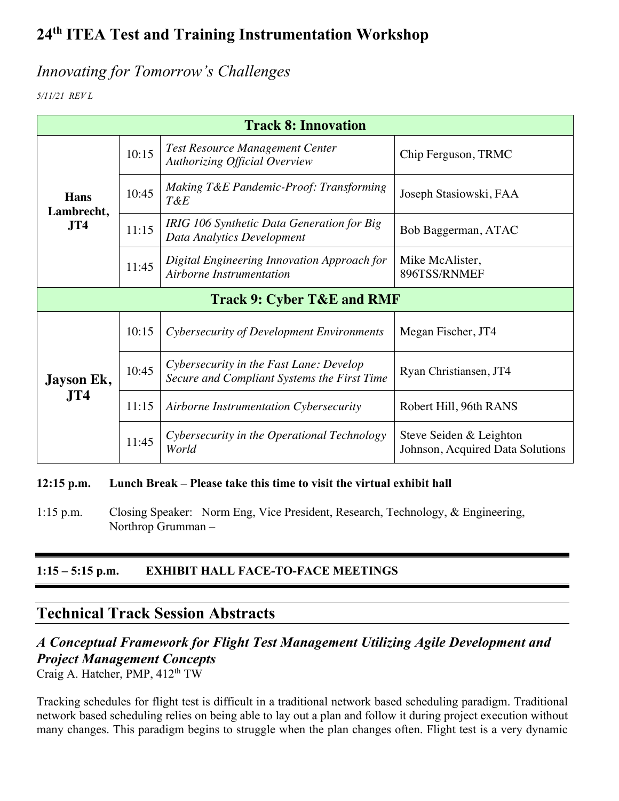### *Innovating for Tomorrow's Challenges*

*5/11/21 REV L*

| <b>Track 8: Innovation</b>                   |       |                                                                                        |                                                             |  |
|----------------------------------------------|-------|----------------------------------------------------------------------------------------|-------------------------------------------------------------|--|
| <b>Hans</b><br>Lambrecht,<br>J <sub>T4</sub> | 10:15 | <b>Test Resource Management Center</b><br><b>Authorizing Official Overview</b>         | Chip Ferguson, TRMC                                         |  |
|                                              | 10:45 | Making T&E Pandemic-Proof: Transforming<br>T&E                                         | Joseph Stasiowski, FAA                                      |  |
|                                              | 11:15 | IRIG 106 Synthetic Data Generation for Big<br>Data Analytics Development               | Bob Baggerman, ATAC                                         |  |
|                                              | 11:45 | Digital Engineering Innovation Approach for<br>Airborne Instrumentation                | Mike McAlister,<br>896TSS/RNMEF                             |  |
| <b>Track 9: Cyber T&amp;E and RMF</b>        |       |                                                                                        |                                                             |  |
|                                              | 10:15 | Cybersecurity of Development Environments                                              | Megan Fischer, JT4                                          |  |
| Jayson Ek,                                   | 10:45 | Cybersecurity in the Fast Lane: Develop<br>Secure and Compliant Systems the First Time | Ryan Christiansen, JT4                                      |  |
| JT4                                          | 11:15 | Airborne Instrumentation Cybersecurity                                                 | Robert Hill, 96th RANS                                      |  |
|                                              | 11:45 | Cybersecurity in the Operational Technology<br>World                                   | Steve Seiden & Leighton<br>Johnson, Acquired Data Solutions |  |

#### **12:15 p.m. Lunch Break – Please take this time to visit the virtual exhibit hall**

1:15 p.m. Closing Speaker: Norm Eng, Vice President, Research, Technology, & Engineering, Northrop Grumman –

#### **1:15 – 5:15 p.m. EXHIBIT HALL FACE-TO-FACE MEETINGS**

### **Technical Track Session Abstracts**

## *A Conceptual Framework for Flight Test Management Utilizing Agile Development and Project Management Concepts*

Craig A. Hatcher, PMP, 412<sup>th</sup> TW

Tracking schedules for flight test is difficult in a traditional network based scheduling paradigm. Traditional network based scheduling relies on being able to lay out a plan and follow it during project execution without many changes. This paradigm begins to struggle when the plan changes often. Flight test is a very dynamic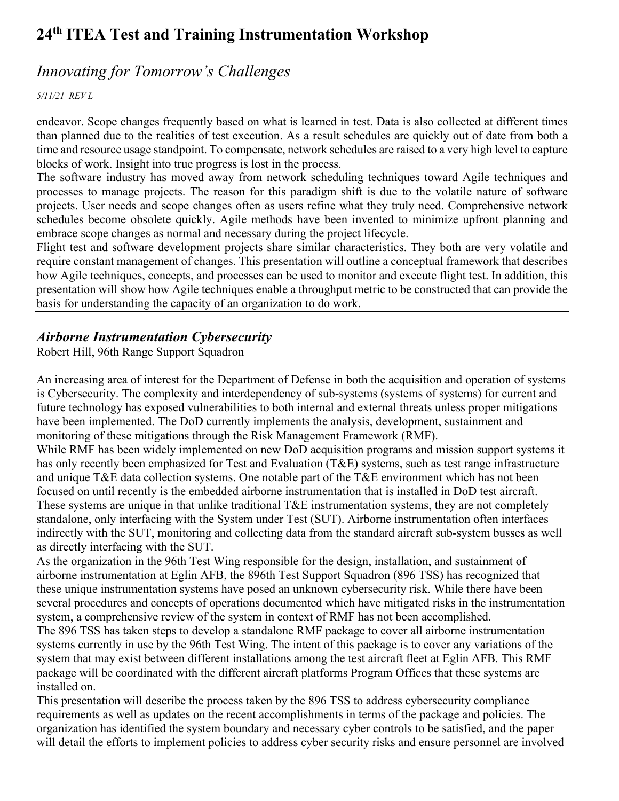### *Innovating for Tomorrow's Challenges*

*5/11/21 REV L*

endeavor. Scope changes frequently based on what is learned in test. Data is also collected at different times than planned due to the realities of test execution. As a result schedules are quickly out of date from both a time and resource usage standpoint. To compensate, network schedules are raised to a very high level to capture blocks of work. Insight into true progress is lost in the process.

The software industry has moved away from network scheduling techniques toward Agile techniques and processes to manage projects. The reason for this paradigm shift is due to the volatile nature of software projects. User needs and scope changes often as users refine what they truly need. Comprehensive network schedules become obsolete quickly. Agile methods have been invented to minimize upfront planning and embrace scope changes as normal and necessary during the project lifecycle.

Flight test and software development projects share similar characteristics. They both are very volatile and require constant management of changes. This presentation will outline a conceptual framework that describes how Agile techniques, concepts, and processes can be used to monitor and execute flight test. In addition, this presentation will show how Agile techniques enable a throughput metric to be constructed that can provide the basis for understanding the capacity of an organization to do work.

#### *Airborne Instrumentation Cybersecurity*

Robert Hill, 96th Range Support Squadron

An increasing area of interest for the Department of Defense in both the acquisition and operation of systems is Cybersecurity. The complexity and interdependency of sub-systems (systems of systems) for current and future technology has exposed vulnerabilities to both internal and external threats unless proper mitigations have been implemented. The DoD currently implements the analysis, development, sustainment and monitoring of these mitigations through the Risk Management Framework (RMF).

While RMF has been widely implemented on new DoD acquisition programs and mission support systems it has only recently been emphasized for Test and Evaluation (T&E) systems, such as test range infrastructure and unique T&E data collection systems. One notable part of the T&E environment which has not been focused on until recently is the embedded airborne instrumentation that is installed in DoD test aircraft. These systems are unique in that unlike traditional T&E instrumentation systems, they are not completely standalone, only interfacing with the System under Test (SUT). Airborne instrumentation often interfaces indirectly with the SUT, monitoring and collecting data from the standard aircraft sub-system busses as well as directly interfacing with the SUT.

As the organization in the 96th Test Wing responsible for the design, installation, and sustainment of airborne instrumentation at Eglin AFB, the 896th Test Support Squadron (896 TSS) has recognized that these unique instrumentation systems have posed an unknown cybersecurity risk. While there have been several procedures and concepts of operations documented which have mitigated risks in the instrumentation system, a comprehensive review of the system in context of RMF has not been accomplished.

The 896 TSS has taken steps to develop a standalone RMF package to cover all airborne instrumentation systems currently in use by the 96th Test Wing. The intent of this package is to cover any variations of the system that may exist between different installations among the test aircraft fleet at Eglin AFB. This RMF package will be coordinated with the different aircraft platforms Program Offices that these systems are installed on.

This presentation will describe the process taken by the 896 TSS to address cybersecurity compliance requirements as well as updates on the recent accomplishments in terms of the package and policies. The organization has identified the system boundary and necessary cyber controls to be satisfied, and the paper will detail the efforts to implement policies to address cyber security risks and ensure personnel are involved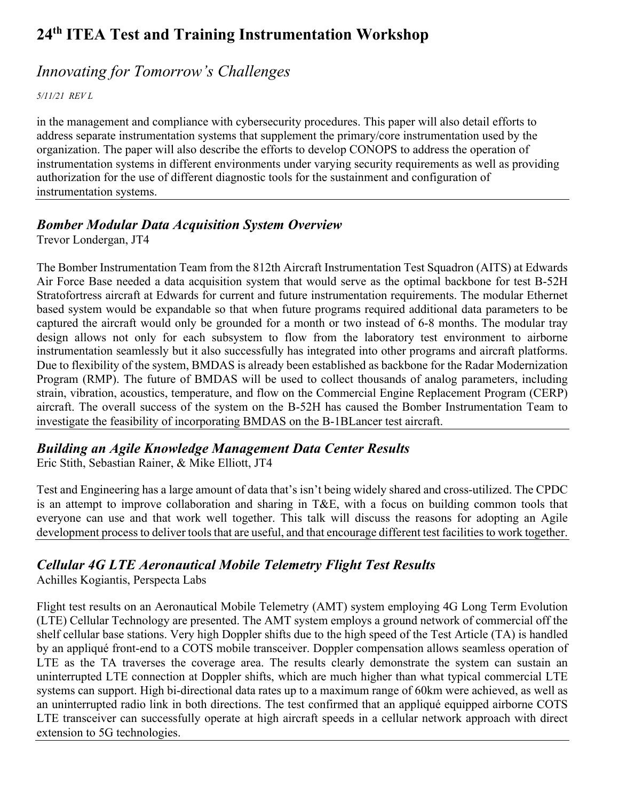## *Innovating for Tomorrow's Challenges*

*5/11/21 REV L*

in the management and compliance with cybersecurity procedures. This paper will also detail efforts to address separate instrumentation systems that supplement the primary/core instrumentation used by the organization. The paper will also describe the efforts to develop CONOPS to address the operation of instrumentation systems in different environments under varying security requirements as well as providing authorization for the use of different diagnostic tools for the sustainment and configuration of instrumentation systems.

#### *Bomber Modular Data Acquisition System Overview*

Trevor Londergan, JT4

The Bomber Instrumentation Team from the 812th Aircraft Instrumentation Test Squadron (AITS) at Edwards Air Force Base needed a data acquisition system that would serve as the optimal backbone for test B-52H Stratofortress aircraft at Edwards for current and future instrumentation requirements. The modular Ethernet based system would be expandable so that when future programs required additional data parameters to be captured the aircraft would only be grounded for a month or two instead of 6-8 months. The modular tray design allows not only for each subsystem to flow from the laboratory test environment to airborne instrumentation seamlessly but it also successfully has integrated into other programs and aircraft platforms. Due to flexibility of the system, BMDAS is already been established as backbone for the Radar Modernization Program (RMP). The future of BMDAS will be used to collect thousands of analog parameters, including strain, vibration, acoustics, temperature, and flow on the Commercial Engine Replacement Program (CERP) aircraft. The overall success of the system on the B-52H has caused the Bomber Instrumentation Team to investigate the feasibility of incorporating BMDAS on the B-1BLancer test aircraft.

### *Building an Agile Knowledge Management Data Center Results*

Eric Stith, Sebastian Rainer, & Mike Elliott, JT4

Test and Engineering has a large amount of data that's isn't being widely shared and cross-utilized. The CPDC is an attempt to improve collaboration and sharing in T&E, with a focus on building common tools that everyone can use and that work well together. This talk will discuss the reasons for adopting an Agile development process to deliver tools that are useful, and that encourage different test facilities to work together.

### *Cellular 4G LTE Aeronautical Mobile Telemetry Flight Test Results*

Achilles Kogiantis, Perspecta Labs

Flight test results on an Aeronautical Mobile Telemetry (AMT) system employing 4G Long Term Evolution (LTE) Cellular Technology are presented. The AMT system employs a ground network of commercial off the shelf cellular base stations. Very high Doppler shifts due to the high speed of the Test Article (TA) is handled by an appliqué front-end to a COTS mobile transceiver. Doppler compensation allows seamless operation of LTE as the TA traverses the coverage area. The results clearly demonstrate the system can sustain an uninterrupted LTE connection at Doppler shifts, which are much higher than what typical commercial LTE systems can support. High bi-directional data rates up to a maximum range of 60km were achieved, as well as an uninterrupted radio link in both directions. The test confirmed that an appliqué equipped airborne COTS LTE transceiver can successfully operate at high aircraft speeds in a cellular network approach with direct extension to 5G technologies.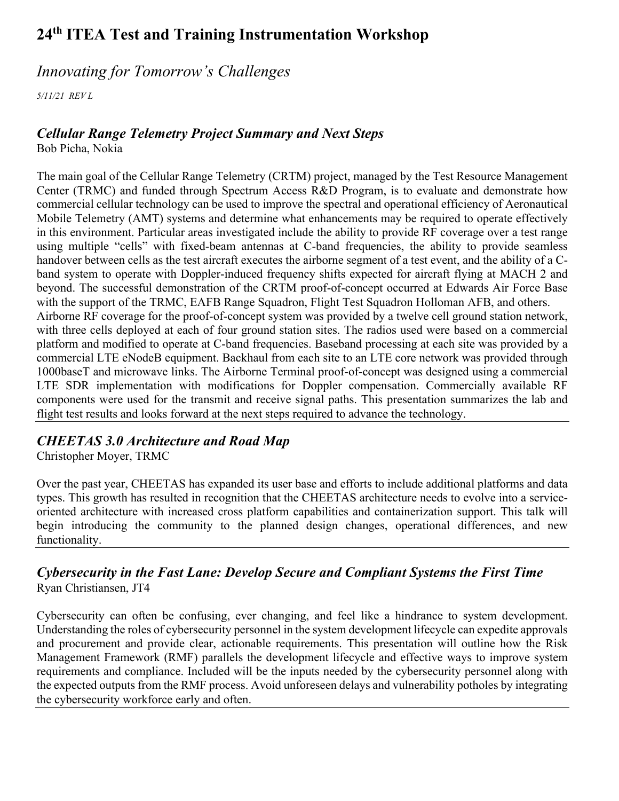### *Innovating for Tomorrow's Challenges*

*5/11/21 REV L*

#### *Cellular Range Telemetry Project Summary and Next Steps*

Bob Picha, Nokia

The main goal of the Cellular Range Telemetry (CRTM) project, managed by the Test Resource Management Center (TRMC) and funded through Spectrum Access R&D Program, is to evaluate and demonstrate how commercial cellular technology can be used to improve the spectral and operational efficiency of Aeronautical Mobile Telemetry (AMT) systems and determine what enhancements may be required to operate effectively in this environment. Particular areas investigated include the ability to provide RF coverage over a test range using multiple "cells" with fixed-beam antennas at C-band frequencies, the ability to provide seamless handover between cells as the test aircraft executes the airborne segment of a test event, and the ability of a Cband system to operate with Doppler-induced frequency shifts expected for aircraft flying at MACH 2 and beyond. The successful demonstration of the CRTM proof-of-concept occurred at Edwards Air Force Base with the support of the TRMC, EAFB Range Squadron, Flight Test Squadron Holloman AFB, and others. Airborne RF coverage for the proof-of-concept system was provided by a twelve cell ground station network, with three cells deployed at each of four ground station sites. The radios used were based on a commercial platform and modified to operate at C-band frequencies. Baseband processing at each site was provided by a commercial LTE eNodeB equipment. Backhaul from each site to an LTE core network was provided through 1000baseT and microwave links. The Airborne Terminal proof-of-concept was designed using a commercial LTE SDR implementation with modifications for Doppler compensation. Commercially available RF components were used for the transmit and receive signal paths. This presentation summarizes the lab and flight test results and looks forward at the next steps required to advance the technology.

### *CHEETAS 3.0 Architecture and Road Map*

Christopher Moyer, TRMC

Over the past year, CHEETAS has expanded its user base and efforts to include additional platforms and data types. This growth has resulted in recognition that the CHEETAS architecture needs to evolve into a serviceoriented architecture with increased cross platform capabilities and containerization support. This talk will begin introducing the community to the planned design changes, operational differences, and new functionality.

#### *Cybersecurity in the Fast Lane: Develop Secure and Compliant Systems the First Time* Ryan Christiansen, JT4

Cybersecurity can often be confusing, ever changing, and feel like a hindrance to system development. Understanding the roles of cybersecurity personnel in the system development lifecycle can expedite approvals and procurement and provide clear, actionable requirements. This presentation will outline how the Risk Management Framework (RMF) parallels the development lifecycle and effective ways to improve system requirements and compliance. Included will be the inputs needed by the cybersecurity personnel along with the expected outputs from the RMF process. Avoid unforeseen delays and vulnerability potholes by integrating the cybersecurity workforce early and often.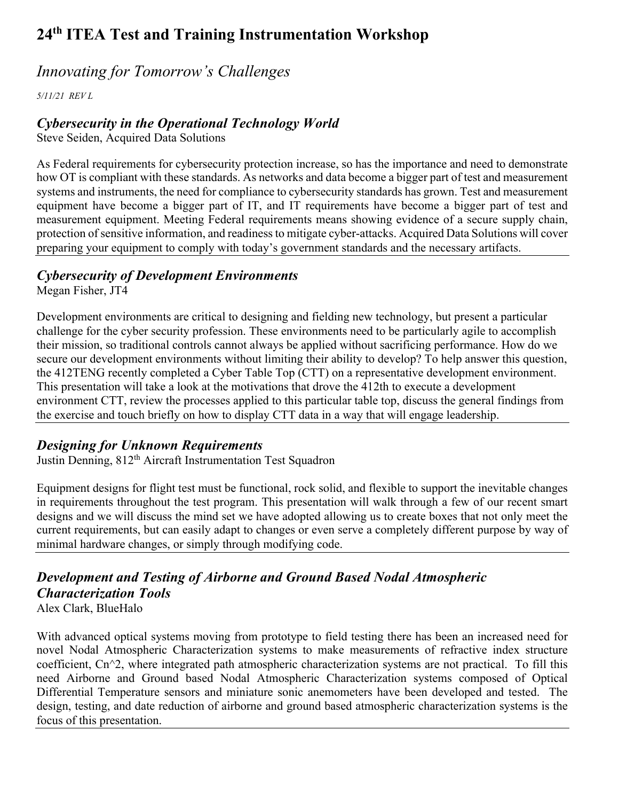### *Innovating for Tomorrow's Challenges*

*5/11/21 REV L*

#### *Cybersecurity in the Operational Technology World*

Steve Seiden, Acquired Data Solutions

As Federal requirements for cybersecurity protection increase, so has the importance and need to demonstrate how OT is compliant with these standards. As networks and data become a bigger part of test and measurement systems and instruments, the need for compliance to cybersecurity standards has grown. Test and measurement equipment have become a bigger part of IT, and IT requirements have become a bigger part of test and measurement equipment. Meeting Federal requirements means showing evidence of a secure supply chain, protection of sensitive information, and readiness to mitigate cyber-attacks. Acquired Data Solutions will cover preparing your equipment to comply with today's government standards and the necessary artifacts.

#### *Cybersecurity of Development Environments*

Megan Fisher, JT4

Development environments are critical to designing and fielding new technology, but present a particular challenge for the cyber security profession. These environments need to be particularly agile to accomplish their mission, so traditional controls cannot always be applied without sacrificing performance. How do we secure our development environments without limiting their ability to develop? To help answer this question, the 412TENG recently completed a Cyber Table Top (CTT) on a representative development environment. This presentation will take a look at the motivations that drove the 412th to execute a development environment CTT, review the processes applied to this particular table top, discuss the general findings from the exercise and touch briefly on how to display CTT data in a way that will engage leadership.

### *Designing for Unknown Requirements*

Justin Denning, 812<sup>th</sup> Aircraft Instrumentation Test Squadron

Equipment designs for flight test must be functional, rock solid, and flexible to support the inevitable changes in requirements throughout the test program. This presentation will walk through a few of our recent smart designs and we will discuss the mind set we have adopted allowing us to create boxes that not only meet the current requirements, but can easily adapt to changes or even serve a completely different purpose by way of minimal hardware changes, or simply through modifying code.

#### *Development and Testing of Airborne and Ground Based Nodal Atmospheric Characterization Tools* Alex Clark, BlueHalo

With advanced optical systems moving from prototype to field testing there has been an increased need for novel Nodal Atmospheric Characterization systems to make measurements of refractive index structure coefficient, Cn^2, where integrated path atmospheric characterization systems are not practical. To fill this need Airborne and Ground based Nodal Atmospheric Characterization systems composed of Optical Differential Temperature sensors and miniature sonic anemometers have been developed and tested. The design, testing, and date reduction of airborne and ground based atmospheric characterization systems is the focus of this presentation.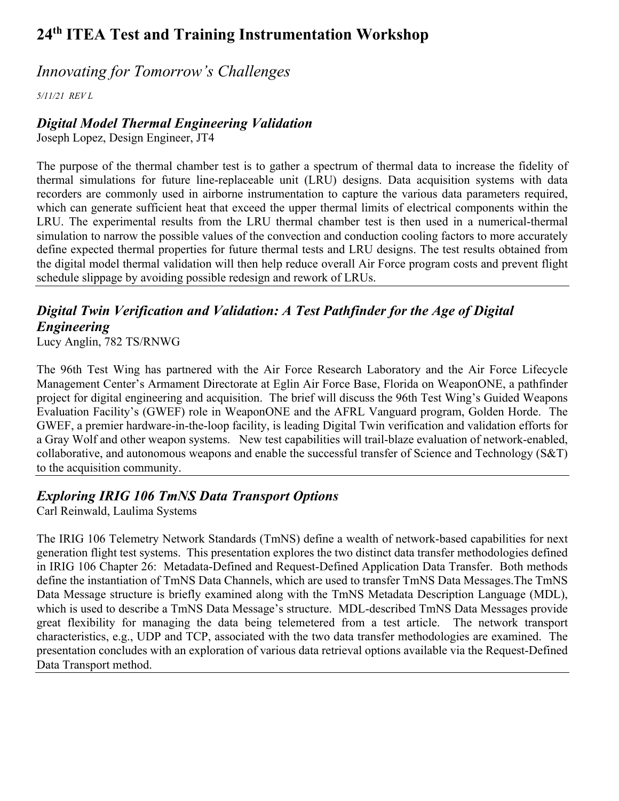### *Innovating for Tomorrow's Challenges*

*5/11/21 REV L*

### *Digital Model Thermal Engineering Validation*

Joseph Lopez, Design Engineer, JT4

The purpose of the thermal chamber test is to gather a spectrum of thermal data to increase the fidelity of thermal simulations for future line-replaceable unit (LRU) designs. Data acquisition systems with data recorders are commonly used in airborne instrumentation to capture the various data parameters required, which can generate sufficient heat that exceed the upper thermal limits of electrical components within the LRU. The experimental results from the LRU thermal chamber test is then used in a numerical-thermal simulation to narrow the possible values of the convection and conduction cooling factors to more accurately define expected thermal properties for future thermal tests and LRU designs. The test results obtained from the digital model thermal validation will then help reduce overall Air Force program costs and prevent flight schedule slippage by avoiding possible redesign and rework of LRUs.

## *Digital Twin Verification and Validation: A Test Pathfinder for the Age of Digital Engineering*

Lucy Anglin, 782 TS/RNWG

The 96th Test Wing has partnered with the Air Force Research Laboratory and the Air Force Lifecycle Management Center's Armament Directorate at Eglin Air Force Base, Florida on WeaponONE, a pathfinder project for digital engineering and acquisition. The brief will discuss the 96th Test Wing's Guided Weapons Evaluation Facility's (GWEF) role in WeaponONE and the AFRL Vanguard program, Golden Horde. The GWEF, a premier hardware-in-the-loop facility, is leading Digital Twin verification and validation efforts for a Gray Wolf and other weapon systems. New test capabilities will trail-blaze evaluation of network-enabled, collaborative, and autonomous weapons and enable the successful transfer of Science and Technology (S&T) to the acquisition community.

### *Exploring IRIG 106 TmNS Data Transport Options*

Carl Reinwald, Laulima Systems

The IRIG 106 Telemetry Network Standards (TmNS) define a wealth of network-based capabilities for next generation flight test systems. This presentation explores the two distinct data transfer methodologies defined in IRIG 106 Chapter 26: Metadata-Defined and Request-Defined Application Data Transfer. Both methods define the instantiation of TmNS Data Channels, which are used to transfer TmNS Data Messages.The TmNS Data Message structure is briefly examined along with the TmNS Metadata Description Language (MDL), which is used to describe a TmNS Data Message's structure. MDL-described TmNS Data Messages provide great flexibility for managing the data being telemetered from a test article. The network transport characteristics, e.g., UDP and TCP, associated with the two data transfer methodologies are examined. The presentation concludes with an exploration of various data retrieval options available via the Request-Defined Data Transport method.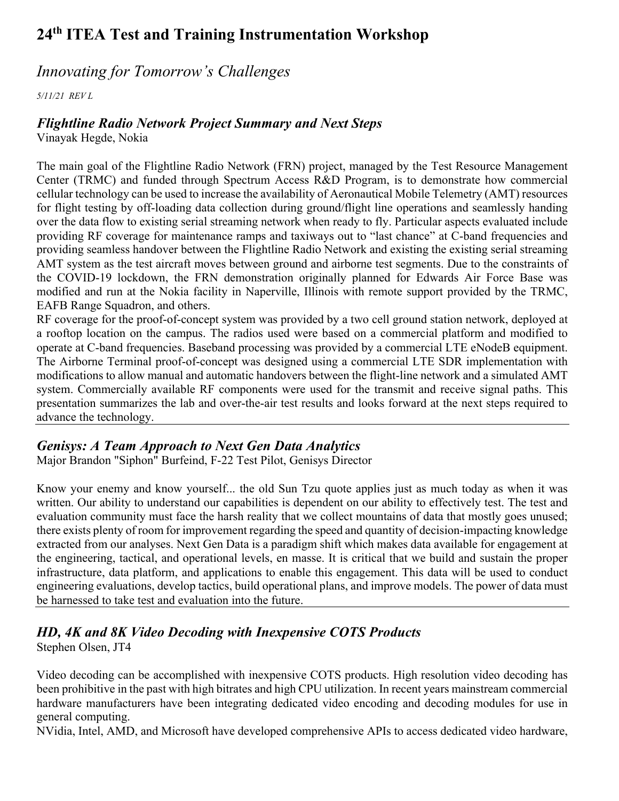### *Innovating for Tomorrow's Challenges*

*5/11/21 REV L*

#### *Flightline Radio Network Project Summary and Next Steps*

Vinayak Hegde, Nokia

The main goal of the Flightline Radio Network (FRN) project, managed by the Test Resource Management Center (TRMC) and funded through Spectrum Access R&D Program, is to demonstrate how commercial cellular technology can be used to increase the availability of Aeronautical Mobile Telemetry (AMT) resources for flight testing by off-loading data collection during ground/flight line operations and seamlessly handing over the data flow to existing serial streaming network when ready to fly. Particular aspects evaluated include providing RF coverage for maintenance ramps and taxiways out to "last chance" at C-band frequencies and providing seamless handover between the Flightline Radio Network and existing the existing serial streaming AMT system as the test aircraft moves between ground and airborne test segments. Due to the constraints of the COVID-19 lockdown, the FRN demonstration originally planned for Edwards Air Force Base was modified and run at the Nokia facility in Naperville, Illinois with remote support provided by the TRMC, EAFB Range Squadron, and others.

RF coverage for the proof-of-concept system was provided by a two cell ground station network, deployed at a rooftop location on the campus. The radios used were based on a commercial platform and modified to operate at C-band frequencies. Baseband processing was provided by a commercial LTE eNodeB equipment. The Airborne Terminal proof-of-concept was designed using a commercial LTE SDR implementation with modifications to allow manual and automatic handovers between the flight-line network and a simulated AMT system. Commercially available RF components were used for the transmit and receive signal paths. This presentation summarizes the lab and over-the-air test results and looks forward at the next steps required to advance the technology.

#### *Genisys: A Team Approach to Next Gen Data Analytics*

Major Brandon "Siphon" Burfeind, F-22 Test Pilot, Genisys Director

Know your enemy and know yourself... the old Sun Tzu quote applies just as much today as when it was written. Our ability to understand our capabilities is dependent on our ability to effectively test. The test and evaluation community must face the harsh reality that we collect mountains of data that mostly goes unused; there exists plenty of room for improvement regarding the speed and quantity of decision-impacting knowledge extracted from our analyses. Next Gen Data is a paradigm shift which makes data available for engagement at the engineering, tactical, and operational levels, en masse. It is critical that we build and sustain the proper infrastructure, data platform, and applications to enable this engagement. This data will be used to conduct engineering evaluations, develop tactics, build operational plans, and improve models. The power of data must be harnessed to take test and evaluation into the future.

### *HD, 4K and 8K Video Decoding with Inexpensive COTS Products*

Stephen Olsen, JT4

Video decoding can be accomplished with inexpensive COTS products. High resolution video decoding has been prohibitive in the past with high bitrates and high CPU utilization. In recent years mainstream commercial hardware manufacturers have been integrating dedicated video encoding and decoding modules for use in general computing.

NVidia, Intel, AMD, and Microsoft have developed comprehensive APIs to access dedicated video hardware,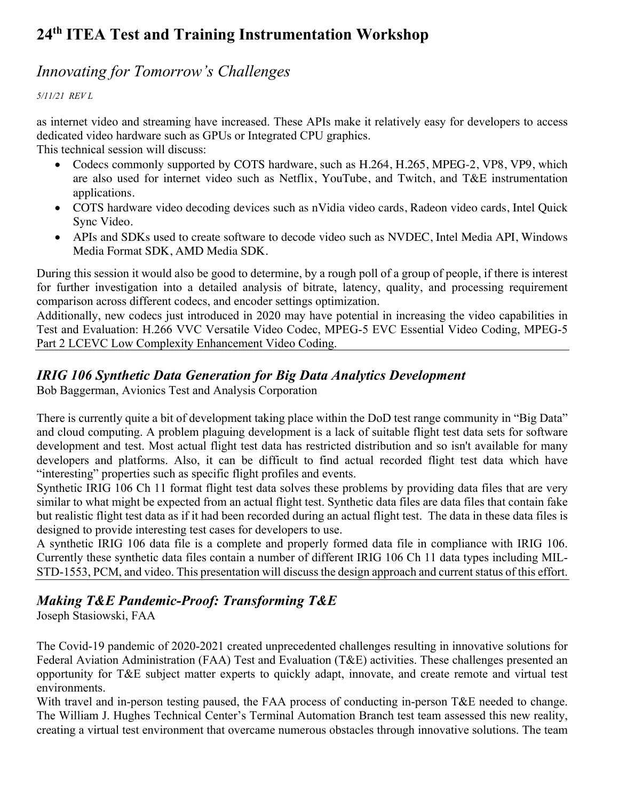### *Innovating for Tomorrow's Challenges*

*5/11/21 REV L*

as internet video and streaming have increased. These APIs make it relatively easy for developers to access dedicated video hardware such as GPUs or Integrated CPU graphics.

This technical session will discuss:

- Codecs commonly supported by COTS hardware, such as H.264, H.265, MPEG-2, VP8, VP9, which are also used for internet video such as Netflix, YouTube, and Twitch, and T&E instrumentation applications.
- COTS hardware video decoding devices such as nVidia video cards, Radeon video cards, Intel Quick Sync Video.
- APIs and SDKs used to create software to decode video such as NVDEC, Intel Media API, Windows Media Format SDK, AMD Media SDK.

During this session it would also be good to determine, by a rough poll of a group of people, if there is interest for further investigation into a detailed analysis of bitrate, latency, quality, and processing requirement comparison across different codecs, and encoder settings optimization.

Additionally, new codecs just introduced in 2020 may have potential in increasing the video capabilities in Test and Evaluation: H.266 VVC Versatile Video Codec, MPEG-5 EVC Essential Video Coding, MPEG-5 Part 2 LCEVC Low Complexity Enhancement Video Coding.

#### *IRIG 106 Synthetic Data Generation for Big Data Analytics Development*

Bob Baggerman, Avionics Test and Analysis Corporation

There is currently quite a bit of development taking place within the DoD test range community in "Big Data" and cloud computing. A problem plaguing development is a lack of suitable flight test data sets for software development and test. Most actual flight test data has restricted distribution and so isn't available for many developers and platforms. Also, it can be difficult to find actual recorded flight test data which have "interesting" properties such as specific flight profiles and events.

Synthetic IRIG 106 Ch 11 format flight test data solves these problems by providing data files that are very similar to what might be expected from an actual flight test. Synthetic data files are data files that contain fake but realistic flight test data as if it had been recorded during an actual flight test. The data in these data files is designed to provide interesting test cases for developers to use.

A synthetic IRIG 106 data file is a complete and properly formed data file in compliance with IRIG 106. Currently these synthetic data files contain a number of different IRIG 106 Ch 11 data types including MIL-STD-1553, PCM, and video. This presentation will discuss the design approach and current status of this effort.

#### *Making T&E Pandemic-Proof: Transforming T&E*

Joseph Stasiowski, FAA

The Covid-19 pandemic of 2020-2021 created unprecedented challenges resulting in innovative solutions for Federal Aviation Administration (FAA) Test and Evaluation (T&E) activities. These challenges presented an opportunity for T&E subject matter experts to quickly adapt, innovate, and create remote and virtual test environments.

With travel and in-person testing paused, the FAA process of conducting in-person T&E needed to change. The William J. Hughes Technical Center's Terminal Automation Branch test team assessed this new reality, creating a virtual test environment that overcame numerous obstacles through innovative solutions. The team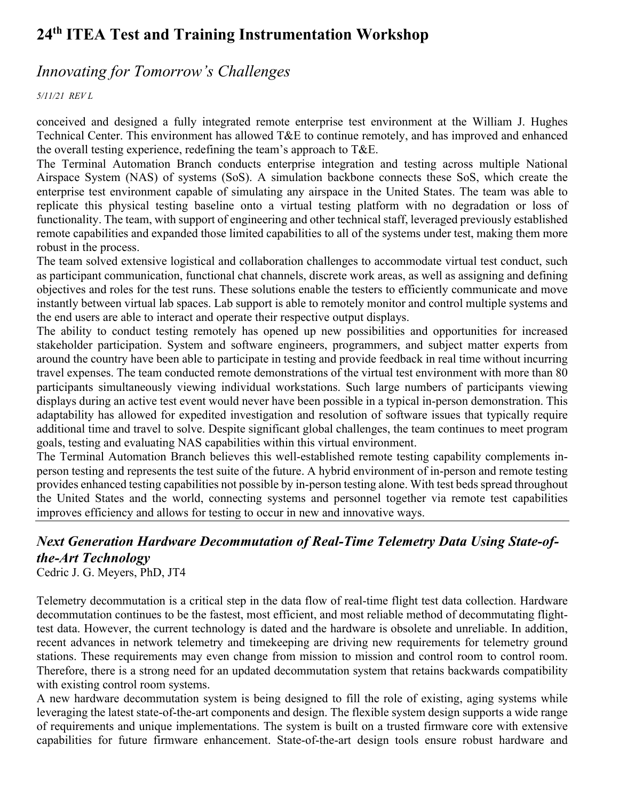### *Innovating for Tomorrow's Challenges*

*5/11/21 REV L*

conceived and designed a fully integrated remote enterprise test environment at the William J. Hughes Technical Center. This environment has allowed T&E to continue remotely, and has improved and enhanced the overall testing experience, redefining the team's approach to T&E.

The Terminal Automation Branch conducts enterprise integration and testing across multiple National Airspace System (NAS) of systems (SoS). A simulation backbone connects these SoS, which create the enterprise test environment capable of simulating any airspace in the United States. The team was able to replicate this physical testing baseline onto a virtual testing platform with no degradation or loss of functionality. The team, with support of engineering and other technical staff, leveraged previously established remote capabilities and expanded those limited capabilities to all of the systems under test, making them more robust in the process.

The team solved extensive logistical and collaboration challenges to accommodate virtual test conduct, such as participant communication, functional chat channels, discrete work areas, as well as assigning and defining objectives and roles for the test runs. These solutions enable the testers to efficiently communicate and move instantly between virtual lab spaces. Lab support is able to remotely monitor and control multiple systems and the end users are able to interact and operate their respective output displays.

The ability to conduct testing remotely has opened up new possibilities and opportunities for increased stakeholder participation. System and software engineers, programmers, and subject matter experts from around the country have been able to participate in testing and provide feedback in real time without incurring travel expenses. The team conducted remote demonstrations of the virtual test environment with more than 80 participants simultaneously viewing individual workstations. Such large numbers of participants viewing displays during an active test event would never have been possible in a typical in-person demonstration. This adaptability has allowed for expedited investigation and resolution of software issues that typically require additional time and travel to solve. Despite significant global challenges, the team continues to meet program goals, testing and evaluating NAS capabilities within this virtual environment.

The Terminal Automation Branch believes this well-established remote testing capability complements inperson testing and represents the test suite of the future. A hybrid environment of in-person and remote testing provides enhanced testing capabilities not possible by in-person testing alone. With test beds spread throughout the United States and the world, connecting systems and personnel together via remote test capabilities improves efficiency and allows for testing to occur in new and innovative ways.

## *Next Generation Hardware Decommutation of Real-Time Telemetry Data Using State-ofthe-Art Technology*

Cedric J. G. Meyers, PhD, JT4

Telemetry decommutation is a critical step in the data flow of real-time flight test data collection. Hardware decommutation continues to be the fastest, most efficient, and most reliable method of decommutating flighttest data. However, the current technology is dated and the hardware is obsolete and unreliable. In addition, recent advances in network telemetry and timekeeping are driving new requirements for telemetry ground stations. These requirements may even change from mission to mission and control room to control room. Therefore, there is a strong need for an updated decommutation system that retains backwards compatibility with existing control room systems.

A new hardware decommutation system is being designed to fill the role of existing, aging systems while leveraging the latest state-of-the-art components and design. The flexible system design supports a wide range of requirements and unique implementations. The system is built on a trusted firmware core with extensive capabilities for future firmware enhancement. State-of-the-art design tools ensure robust hardware and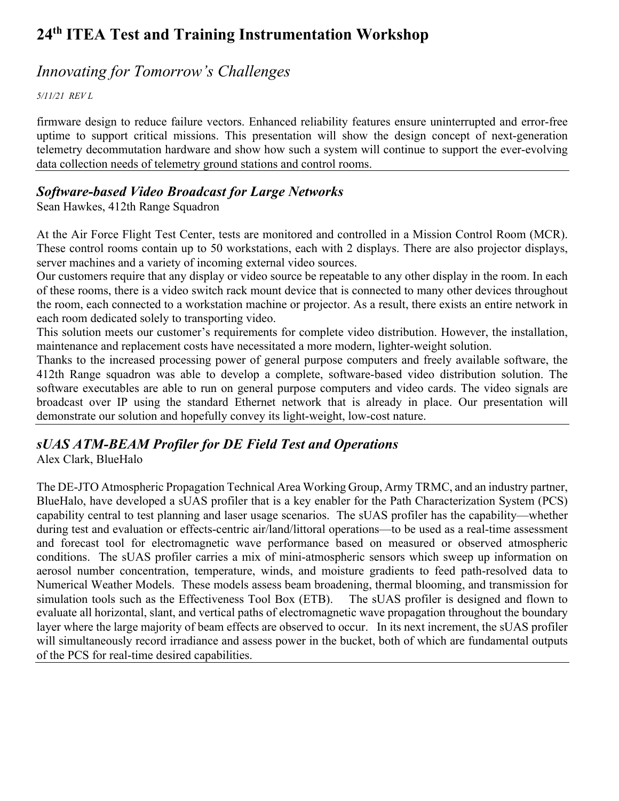### *Innovating for Tomorrow's Challenges*

*5/11/21 REV L*

firmware design to reduce failure vectors. Enhanced reliability features ensure uninterrupted and error-free uptime to support critical missions. This presentation will show the design concept of next-generation telemetry decommutation hardware and show how such a system will continue to support the ever-evolving data collection needs of telemetry ground stations and control rooms.

#### *Software-based Video Broadcast for Large Networks*

Sean Hawkes, 412th Range Squadron

At the Air Force Flight Test Center, tests are monitored and controlled in a Mission Control Room (MCR). These control rooms contain up to 50 workstations, each with 2 displays. There are also projector displays, server machines and a variety of incoming external video sources.

Our customers require that any display or video source be repeatable to any other display in the room. In each of these rooms, there is a video switch rack mount device that is connected to many other devices throughout the room, each connected to a workstation machine or projector. As a result, there exists an entire network in each room dedicated solely to transporting video.

This solution meets our customer's requirements for complete video distribution. However, the installation, maintenance and replacement costs have necessitated a more modern, lighter-weight solution.

Thanks to the increased processing power of general purpose computers and freely available software, the 412th Range squadron was able to develop a complete, software-based video distribution solution. The software executables are able to run on general purpose computers and video cards. The video signals are broadcast over IP using the standard Ethernet network that is already in place. Our presentation will demonstrate our solution and hopefully convey its light-weight, low-cost nature.

### *sUAS ATM-BEAM Profiler for DE Field Test and Operations*

Alex Clark, BlueHalo

The DE-JTO Atmospheric Propagation Technical Area Working Group, Army TRMC, and an industry partner, BlueHalo, have developed a sUAS profiler that is a key enabler for the Path Characterization System (PCS) capability central to test planning and laser usage scenarios. The sUAS profiler has the capability—whether during test and evaluation or effects-centric air/land/littoral operations—to be used as a real-time assessment and forecast tool for electromagnetic wave performance based on measured or observed atmospheric conditions. The sUAS profiler carries a mix of mini-atmospheric sensors which sweep up information on aerosol number concentration, temperature, winds, and moisture gradients to feed path-resolved data to Numerical Weather Models. These models assess beam broadening, thermal blooming, and transmission for simulation tools such as the Effectiveness Tool Box (ETB). The sUAS profiler is designed and flown to evaluate all horizontal, slant, and vertical paths of electromagnetic wave propagation throughout the boundary layer where the large majority of beam effects are observed to occur. In its next increment, the sUAS profiler will simultaneously record irradiance and assess power in the bucket, both of which are fundamental outputs of the PCS for real-time desired capabilities.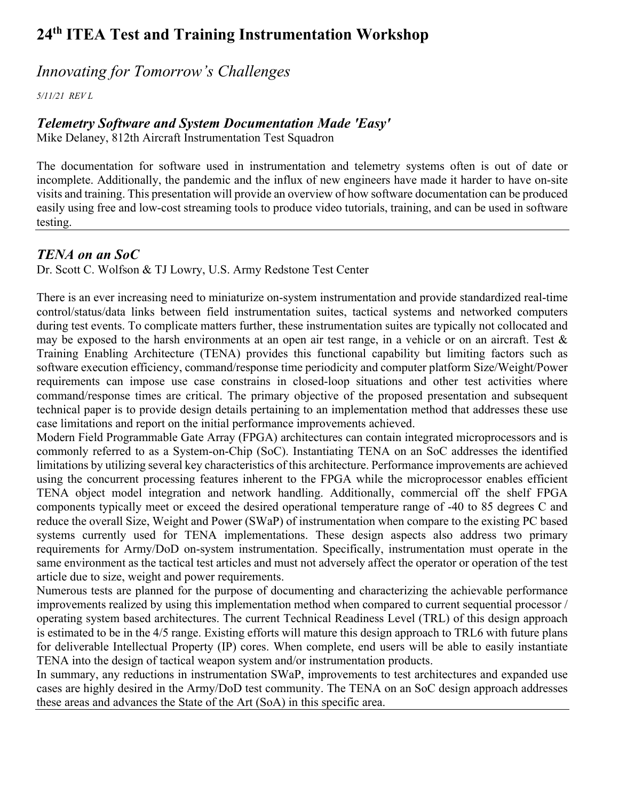### *Innovating for Tomorrow's Challenges*

*5/11/21 REV L*

#### *Telemetry Software and System Documentation Made 'Easy'*

Mike Delaney, 812th Aircraft Instrumentation Test Squadron

The documentation for software used in instrumentation and telemetry systems often is out of date or incomplete. Additionally, the pandemic and the influx of new engineers have made it harder to have on-site visits and training. This presentation will provide an overview of how software documentation can be produced easily using free and low-cost streaming tools to produce video tutorials, training, and can be used in software testing.

#### *TENA on an SoC*

Dr. Scott C. Wolfson & TJ Lowry, U.S. Army Redstone Test Center

There is an ever increasing need to miniaturize on-system instrumentation and provide standardized real-time control/status/data links between field instrumentation suites, tactical systems and networked computers during test events. To complicate matters further, these instrumentation suites are typically not collocated and may be exposed to the harsh environments at an open air test range, in a vehicle or on an aircraft. Test & Training Enabling Architecture (TENA) provides this functional capability but limiting factors such as software execution efficiency, command/response time periodicity and computer platform Size/Weight/Power requirements can impose use case constrains in closed-loop situations and other test activities where command/response times are critical. The primary objective of the proposed presentation and subsequent technical paper is to provide design details pertaining to an implementation method that addresses these use case limitations and report on the initial performance improvements achieved.

Modern Field Programmable Gate Array (FPGA) architectures can contain integrated microprocessors and is commonly referred to as a System-on-Chip (SoC). Instantiating TENA on an SoC addresses the identified limitations by utilizing several key characteristics of this architecture. Performance improvements are achieved using the concurrent processing features inherent to the FPGA while the microprocessor enables efficient TENA object model integration and network handling. Additionally, commercial off the shelf FPGA components typically meet or exceed the desired operational temperature range of -40 to 85 degrees C and reduce the overall Size, Weight and Power (SWaP) of instrumentation when compare to the existing PC based systems currently used for TENA implementations. These design aspects also address two primary requirements for Army/DoD on-system instrumentation. Specifically, instrumentation must operate in the same environment as the tactical test articles and must not adversely affect the operator or operation of the test article due to size, weight and power requirements.

Numerous tests are planned for the purpose of documenting and characterizing the achievable performance improvements realized by using this implementation method when compared to current sequential processor / operating system based architectures. The current Technical Readiness Level (TRL) of this design approach is estimated to be in the 4/5 range. Existing efforts will mature this design approach to TRL6 with future plans for deliverable Intellectual Property (IP) cores. When complete, end users will be able to easily instantiate TENA into the design of tactical weapon system and/or instrumentation products.

In summary, any reductions in instrumentation SWaP, improvements to test architectures and expanded use cases are highly desired in the Army/DoD test community. The TENA on an SoC design approach addresses these areas and advances the State of the Art (SoA) in this specific area.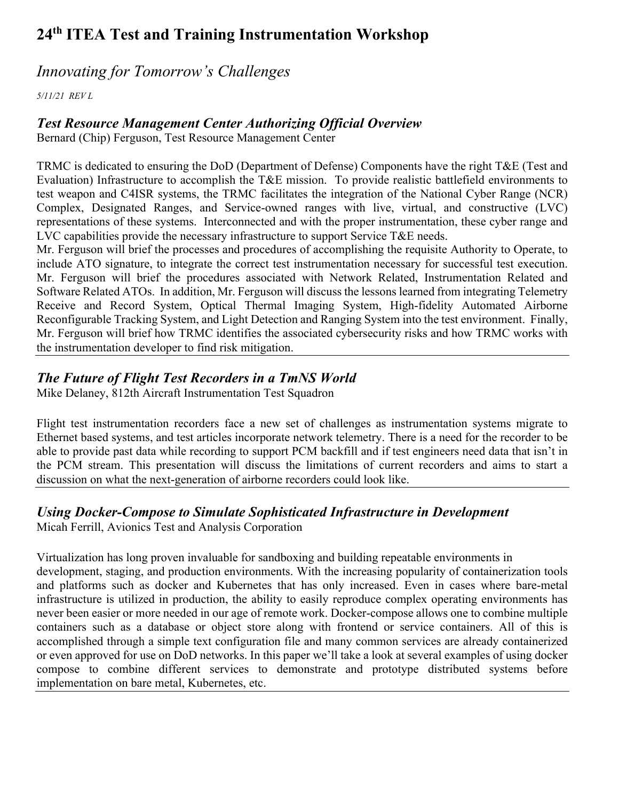### *Innovating for Tomorrow's Challenges*

*5/11/21 REV L*

#### *Test Resource Management Center Authorizing Official Overview*

Bernard (Chip) Ferguson, Test Resource Management Center

TRMC is dedicated to ensuring the DoD (Department of Defense) Components have the right T&E (Test and Evaluation) Infrastructure to accomplish the T&E mission. To provide realistic battlefield environments to test weapon and C4ISR systems, the TRMC facilitates the integration of the National Cyber Range (NCR) Complex, Designated Ranges, and Service-owned ranges with live, virtual, and constructive (LVC) representations of these systems. Interconnected and with the proper instrumentation, these cyber range and LVC capabilities provide the necessary infrastructure to support Service T&E needs.

Mr. Ferguson will brief the processes and procedures of accomplishing the requisite Authority to Operate, to include ATO signature, to integrate the correct test instrumentation necessary for successful test execution. Mr. Ferguson will brief the procedures associated with Network Related, Instrumentation Related and Software Related ATOs. In addition, Mr. Ferguson will discuss the lessons learned from integrating Telemetry Receive and Record System, Optical Thermal Imaging System, High-fidelity Automated Airborne Reconfigurable Tracking System, and Light Detection and Ranging System into the test environment. Finally, Mr. Ferguson will brief how TRMC identifies the associated cybersecurity risks and how TRMC works with the instrumentation developer to find risk mitigation.

#### *The Future of Flight Test Recorders in a TmNS World*

Mike Delaney, 812th Aircraft Instrumentation Test Squadron

Flight test instrumentation recorders face a new set of challenges as instrumentation systems migrate to Ethernet based systems, and test articles incorporate network telemetry. There is a need for the recorder to be able to provide past data while recording to support PCM backfill and if test engineers need data that isn't in the PCM stream. This presentation will discuss the limitations of current recorders and aims to start a discussion on what the next-generation of airborne recorders could look like.

#### *Using Docker-Compose to Simulate Sophisticated Infrastructure in Development*

Micah Ferrill, Avionics Test and Analysis Corporation

Virtualization has long proven invaluable for sandboxing and building repeatable environments in development, staging, and production environments. With the increasing popularity of containerization tools and platforms such as docker and Kubernetes that has only increased. Even in cases where bare-metal infrastructure is utilized in production, the ability to easily reproduce complex operating environments has never been easier or more needed in our age of remote work. Docker-compose allows one to combine multiple containers such as a database or object store along with frontend or service containers. All of this is accomplished through a simple text configuration file and many common services are already containerized or even approved for use on DoD networks. In this paper we'll take a look at several examples of using docker compose to combine different services to demonstrate and prototype distributed systems before implementation on bare metal, Kubernetes, etc.